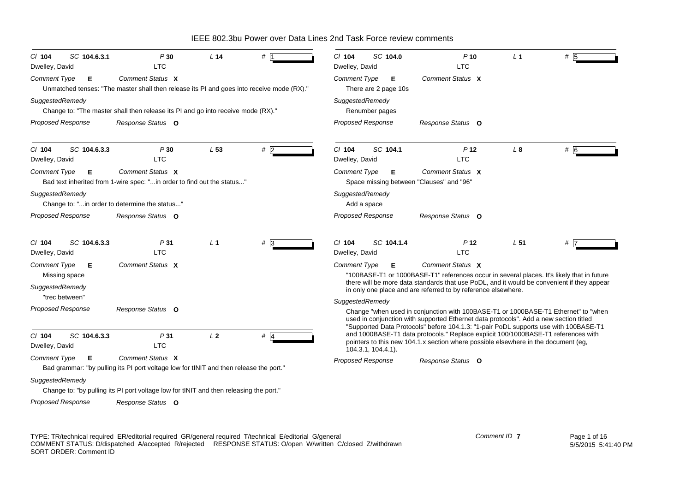| SC 104.6.3.1<br>$CI$ 104<br>Dwelley, David | P30<br><b>LTC</b>                                                                                             | L <sub>14</sub> | #            | SC 104.0<br>$Cl$ 104<br>Dwelley, David                                                                                                                                                                                                                                                 | $P$ 10<br><b>LTC</b>                                                                                                                                                    | L <sub>1</sub> | #     |  |
|--------------------------------------------|---------------------------------------------------------------------------------------------------------------|-----------------|--------------|----------------------------------------------------------------------------------------------------------------------------------------------------------------------------------------------------------------------------------------------------------------------------------------|-------------------------------------------------------------------------------------------------------------------------------------------------------------------------|----------------|-------|--|
| Comment Type<br>Е                          | Comment Status X<br>Unmatched tenses: "The master shall then release its PI and goes into receive mode (RX)." |                 |              | Comment Type<br>Е<br>There are 2 page 10s                                                                                                                                                                                                                                              | Comment Status X                                                                                                                                                        |                |       |  |
| SuggestedRemedy                            | Change to: "The master shall then release its PI and go into receive mode (RX)."                              |                 |              | SuggestedRemedy<br>Renumber pages                                                                                                                                                                                                                                                      |                                                                                                                                                                         |                |       |  |
| <b>Proposed Response</b>                   | Response Status O                                                                                             |                 |              | <b>Proposed Response</b>                                                                                                                                                                                                                                                               | Response Status O                                                                                                                                                       |                |       |  |
| SC 104.6.3.3<br>$CI$ 104<br>Dwelley, David | P30<br><b>LTC</b>                                                                                             | L53             | #2           | $Cl$ 104<br>SC 104.1<br>Dwelley, David                                                                                                                                                                                                                                                 | P <sub>12</sub><br><b>LTC</b>                                                                                                                                           | $L_{\rm 8}$    | # 6   |  |
| <b>Comment Type</b><br>Е                   | Comment Status X<br>Bad text inherited from 1-wire spec: "in order to find out the status"                    |                 |              | <b>Comment Type</b><br>Е<br>Space missing between "Clauses" and "96"                                                                                                                                                                                                                   | Comment Status X                                                                                                                                                        |                |       |  |
| SuggestedRemedy                            | Change to: "in order to determine the status"                                                                 |                 |              | SuggestedRemedy<br>Add a space                                                                                                                                                                                                                                                         |                                                                                                                                                                         |                |       |  |
| <b>Proposed Response</b>                   | Response Status O                                                                                             |                 |              | <b>Proposed Response</b>                                                                                                                                                                                                                                                               | Response Status O                                                                                                                                                       |                |       |  |
| SC 104.6.3.3<br>$Cl$ 104<br>Dwelley, David | P31<br><b>LTC</b>                                                                                             | L <sub>1</sub>  | $# \sqrt{3}$ | $Cl$ 104<br>SC 104.1.4<br>Dwelley, David                                                                                                                                                                                                                                               | P <sub>12</sub><br><b>LTC</b>                                                                                                                                           | L51            | $#$ 7 |  |
| Comment Type<br>Е<br>Missing space         | Comment Status X                                                                                              |                 |              | <b>Comment Type</b><br>Е                                                                                                                                                                                                                                                               | Comment Status X<br>"100BASE-T1 or 1000BASE-T1" references occur in several places. It's likely that in future                                                          |                |       |  |
| SuggestedRemedy<br>"trec between"          |                                                                                                               |                 |              |                                                                                                                                                                                                                                                                                        | there will be more data standards that use PoDL, and it would be convenient if they appear<br>in only one place and are referred to by reference elsewhere.             |                |       |  |
| <b>Proposed Response</b>                   | Response Status O                                                                                             |                 |              | SuggestedRemedy<br>Change "when used in conjunction with 100BASE-T1 or 1000BASE-T1 Ethernet" to "when<br>used in conjunction with supported Ethernet data protocols". Add a new section titled<br>"Supported Data Protocols" before 104.1.3: "1-pair PoDL supports use with 100BASE-T1 |                                                                                                                                                                         |                |       |  |
| SC 104.6.3.3<br>$CI$ 104<br>Dwelley, David | P31<br><b>LTC</b>                                                                                             | L <sub>2</sub>  | # 4          | 104.3.1, 104.4.1).                                                                                                                                                                                                                                                                     | and 1000BASE-T1 data protocols." Replace explicit 100/1000BASE-T1 references with<br>pointers to this new 104.1.x section where possible elsewhere in the document (eg, |                |       |  |
| <b>Comment Type</b><br>Е                   | Comment Status X<br>Bad grammar: "by pulling its PI port voltage low for tINIT and then release the port."    |                 |              | <b>Proposed Response</b>                                                                                                                                                                                                                                                               | Response Status O                                                                                                                                                       |                |       |  |
| SuggestedRemedy                            | Change to: "by pulling its PI port voltage low for tINIT and then releasing the port."                        |                 |              |                                                                                                                                                                                                                                                                                        |                                                                                                                                                                         |                |       |  |
| <b>Proposed Response</b>                   | Response Status O                                                                                             |                 |              |                                                                                                                                                                                                                                                                                        |                                                                                                                                                                         |                |       |  |

TYPE: TR/technical required ER/editorial required GR/general required T/technical E/editorial G/general COMMENT STATUS: D/dispatched A/accepted R/rejected RESPONSE STATUS: O/open W/written C/closed Z/withdrawn SORT ORDER: Comment ID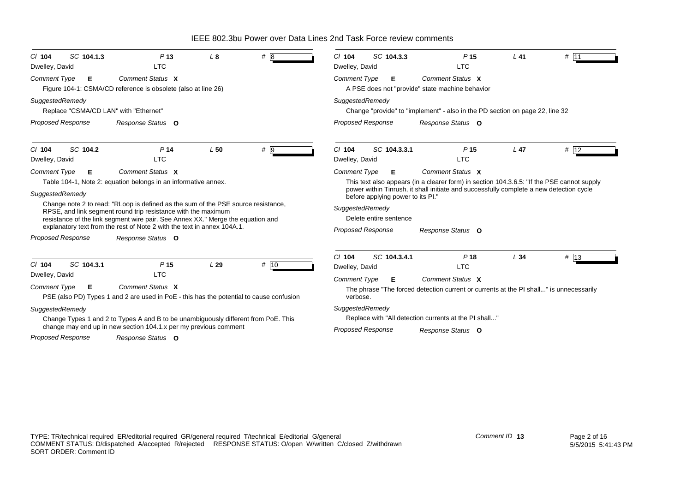| SC 104.1.3<br>$CI$ 104<br>Dwelley, David                                         | P <sub>13</sub><br><b>LTC</b>                                                                                                                                                                                                                                                                                                                                                                                               | L8  | #8    | SC 104.3.3<br>$Cl$ 104<br>Dwelley, David                                                                                               | P <sub>15</sub><br><b>LTC</b>                                                                                                                                                                                                  | $L$ 41 | $#$ 11 |
|----------------------------------------------------------------------------------|-----------------------------------------------------------------------------------------------------------------------------------------------------------------------------------------------------------------------------------------------------------------------------------------------------------------------------------------------------------------------------------------------------------------------------|-----|-------|----------------------------------------------------------------------------------------------------------------------------------------|--------------------------------------------------------------------------------------------------------------------------------------------------------------------------------------------------------------------------------|--------|--------|
| <b>Comment Type</b><br>Е                                                         | Comment Status X<br>Figure 104-1: CSMA/CD reference is obsolete (also at line 26)                                                                                                                                                                                                                                                                                                                                           |     |       | <b>Comment Type</b><br>Е                                                                                                               | Comment Status X<br>A PSE does not "provide" state machine behavior                                                                                                                                                            |        |        |
| SuggestedRemedy<br>Replace "CSMA/CD LAN" with "Ethernet"                         |                                                                                                                                                                                                                                                                                                                                                                                                                             |     |       | SuggestedRemedy                                                                                                                        | Change "provide" to "implement" - also in the PD section on page 22, line 32                                                                                                                                                   |        |        |
| <b>Proposed Response</b>                                                         | Response Status O                                                                                                                                                                                                                                                                                                                                                                                                           |     |       | <b>Proposed Response</b>                                                                                                               | Response Status O                                                                                                                                                                                                              |        |        |
| SC 104.2<br>$CI$ 104<br>Dwelley, David                                           | P <sub>14</sub><br><b>LTC</b>                                                                                                                                                                                                                                                                                                                                                                                               | L50 | $#$ 9 | $Cl$ 104<br>SC 104.3.3.1<br>Dwelley, David                                                                                             | P <sub>15</sub><br><b>LTC</b>                                                                                                                                                                                                  | $L$ 47 | # 12   |
| Comment Type<br>Е<br>SuggestedRemedy<br><b>Proposed Response</b>                 | Comment Status X<br>Table 104-1, Note 2: equation belongs in an informative annex.<br>Change note 2 to read: "RLoop is defined as the sum of the PSE source resistance,<br>RPSE, and link segment round trip resistance with the maximum<br>resistance of the link segment wire pair. See Annex XX." Merge the equation and<br>explanatory text from the rest of Note 2 with the text in annex 104A.1.<br>Response Status O |     |       | <b>Comment Type</b><br>Е<br>before applying power to its PI."<br>SuggestedRemedy<br>Delete entire sentence<br><b>Proposed Response</b> | Comment Status X<br>This text also appears (in a clearer form) in section 104.3.6.5: "If the PSE cannot supply<br>power within Tinrush, it shall initiate and successfully complete a new detection cycle<br>Response Status O |        |        |
| SC 104.3.1<br>$Cl$ 104<br>Dwelley, David<br>Comment Type<br>Е<br>SuggestedRemedy | P <sub>15</sub><br><b>LTC</b><br>Comment Status X<br>PSE (also PD) Types 1 and 2 are used in PoE - this has the potential to cause confusion<br>Change Types 1 and 2 to Types A and B to be unambiguously different from PoE. This                                                                                                                                                                                          | L29 | # 10  | $Cl$ 104<br>SC 104.3.4.1<br>Dwelley, David<br><b>Comment Type</b><br>Е<br>verbose.<br>SuggestedRemedy                                  | P <sub>18</sub><br><b>LTC</b><br>Comment Status X<br>The phrase "The forced detection current or currents at the PI shall" is unnecessarily<br>Replace with "All detection currents at the PI shall"                           | L34    | # 13   |
| <b>Proposed Response</b>                                                         | change may end up in new section 104.1.x per my previous comment<br>Response Status O                                                                                                                                                                                                                                                                                                                                       |     |       | <b>Proposed Response</b>                                                                                                               | Response Status O                                                                                                                                                                                                              |        |        |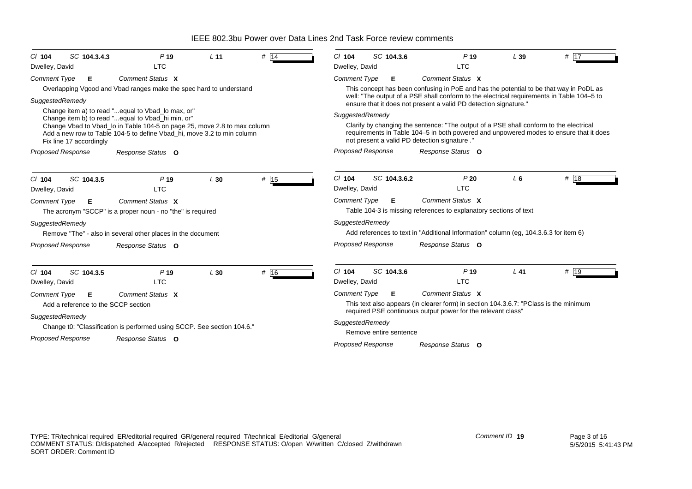| SC 104.3.4.3<br>$Cl$ 104            | P <sub>19</sub>                                                                                                                                    | L <sub>11</sub> | # 14 | SC 104.3.6<br>$Cl$ 104                                                                                                                                                                                                           | P <sub>19</sub>                                                                                                                                               | L39            | # $ 17$ |  |  |
|-------------------------------------|----------------------------------------------------------------------------------------------------------------------------------------------------|-----------------|------|----------------------------------------------------------------------------------------------------------------------------------------------------------------------------------------------------------------------------------|---------------------------------------------------------------------------------------------------------------------------------------------------------------|----------------|---------|--|--|
| Dwelley, David                      | <b>LTC</b>                                                                                                                                         |                 |      | Dwelley, David                                                                                                                                                                                                                   | <b>LTC</b>                                                                                                                                                    |                |         |  |  |
| <b>Comment Type</b><br>E            | Comment Status X                                                                                                                                   |                 |      | <b>Comment Type</b><br>Е                                                                                                                                                                                                         | Comment Status X                                                                                                                                              |                |         |  |  |
|                                     | Overlapping Vgood and Vbad ranges make the spec hard to understand                                                                                 |                 |      |                                                                                                                                                                                                                                  | This concept has been confusing in PoE and has the potential to be that way in PoDL as                                                                        |                |         |  |  |
| SuggestedRemedy                     |                                                                                                                                                    |                 |      |                                                                                                                                                                                                                                  | well: "The output of a PSE shall conform to the electrical requirements in Table 104-5 to<br>ensure that it does not present a valid PD detection signature." |                |         |  |  |
|                                     | Change item a) to read "equal to Vbad_lo max, or"<br>Change item b) to read " equal to Vbad_hi min, or"                                            |                 |      | SuggestedRemedy                                                                                                                                                                                                                  |                                                                                                                                                               |                |         |  |  |
| Fix line 17 accordingly             | Change Vbad to Vbad_lo in Table 104-5 on page 25, move 2.8 to max column<br>Add a new row to Table 104-5 to define Vbad_hi, move 3.2 to min column |                 |      | Clarify by changing the sentence: "The output of a PSE shall conform to the electrical<br>requirements in Table 104–5 in both powered and unpowered modes to ensure that it does<br>not present a valid PD detection signature." |                                                                                                                                                               |                |         |  |  |
| <b>Proposed Response</b>            | Response Status O                                                                                                                                  |                 |      | <b>Proposed Response</b>                                                                                                                                                                                                         | Response Status O                                                                                                                                             |                |         |  |  |
| SC 104.3.5<br>$CI$ 104              | P <sub>19</sub>                                                                                                                                    | L30             | # 15 | SC 104.3.6.2<br>$Cl$ 104                                                                                                                                                                                                         | P20                                                                                                                                                           | L <sub>6</sub> | # 18    |  |  |
| Dwelley, David                      | <b>LTC</b>                                                                                                                                         |                 |      | Dwelley, David                                                                                                                                                                                                                   | <b>LTC</b>                                                                                                                                                    |                |         |  |  |
| Comment Type<br>Е                   | Comment Status X<br>The acronym "SCCP" is a proper noun - no "the" is required                                                                     |                 |      | <b>Comment Type</b><br>Е                                                                                                                                                                                                         | Comment Status X<br>Table 104-3 is missing references to explanatory sections of text                                                                         |                |         |  |  |
| SuggestedRemedy                     | Remove "The" - also in several other places in the document                                                                                        |                 |      | SuggestedRemedy                                                                                                                                                                                                                  | Add references to text in "Additional Information" column (eg, 104.3.6.3 for item 6)                                                                          |                |         |  |  |
| <b>Proposed Response</b>            | Response Status O                                                                                                                                  |                 |      | <b>Proposed Response</b>                                                                                                                                                                                                         | Response Status O                                                                                                                                             |                |         |  |  |
| SC 104.3.5<br>$CI$ 104              | P <sub>19</sub>                                                                                                                                    | L30             | # 16 | $Cl$ 104<br>SC 104.3.6                                                                                                                                                                                                           | P <sub>19</sub>                                                                                                                                               | $L$ 41         | # 19    |  |  |
| Dwelley, David                      | <b>LTC</b>                                                                                                                                         |                 |      | Dwelley, David                                                                                                                                                                                                                   | <b>LTC</b>                                                                                                                                                    |                |         |  |  |
| <b>Comment Type</b><br>Е            | Comment Status X                                                                                                                                   |                 |      | Е.<br><b>Comment Type</b>                                                                                                                                                                                                        | Comment Status X                                                                                                                                              |                |         |  |  |
| Add a reference to the SCCP section |                                                                                                                                                    |                 |      |                                                                                                                                                                                                                                  | This text also appears (in clearer form) in section 104.3.6.7: "PClass is the minimum<br>required PSE continuous output power for the relevant class"         |                |         |  |  |
| SuggestedRemedy                     |                                                                                                                                                    |                 |      | SuggestedRemedy                                                                                                                                                                                                                  |                                                                                                                                                               |                |         |  |  |
|                                     | Change t0: "Classification is performed using SCCP. See section 104.6."                                                                            |                 |      | Remove entire sentence                                                                                                                                                                                                           |                                                                                                                                                               |                |         |  |  |
| <b>Proposed Response</b>            | Response Status O                                                                                                                                  |                 |      | Proposed Response                                                                                                                                                                                                                | Response Status O                                                                                                                                             |                |         |  |  |
|                                     |                                                                                                                                                    |                 |      |                                                                                                                                                                                                                                  |                                                                                                                                                               |                |         |  |  |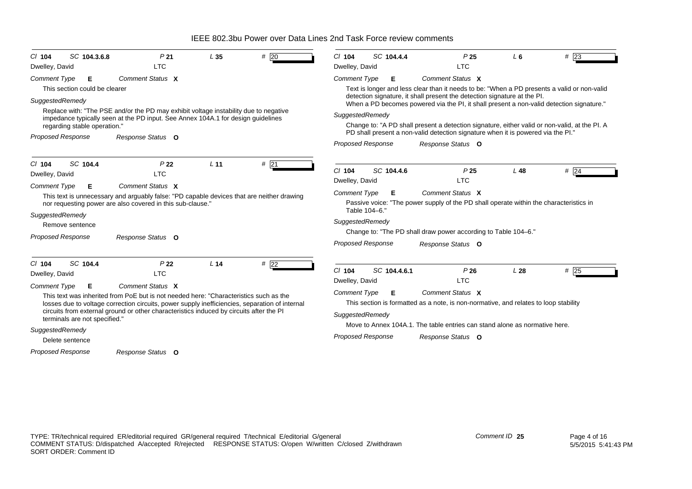| SC 104.3.6.8<br>$Cl$ 104<br>Dwelley, David                                                                                                                     | P <sub>21</sub><br><b>LTC</b>                                                                                                                                                                                                                                                                                                                                | L <sub>35</sub> | # $20$ | SC 104.4.4<br>$CI$ 104<br>Dwelley, David                                                                                      |                                                                                                                                                                                                             | P <sub>25</sub><br><b>LTC</b> | L6     | # 23                                                                                                                                                                                                                                                                                     |
|----------------------------------------------------------------------------------------------------------------------------------------------------------------|--------------------------------------------------------------------------------------------------------------------------------------------------------------------------------------------------------------------------------------------------------------------------------------------------------------------------------------------------------------|-----------------|--------|-------------------------------------------------------------------------------------------------------------------------------|-------------------------------------------------------------------------------------------------------------------------------------------------------------------------------------------------------------|-------------------------------|--------|------------------------------------------------------------------------------------------------------------------------------------------------------------------------------------------------------------------------------------------------------------------------------------------|
| <b>Comment Type</b><br>Е<br>This section could be clearer<br>SuggestedRemedy<br>regarding stable operation."<br>Proposed Response                              | Comment Status X<br>Replace with: "The PSE and/or the PD may exhibit voltage instability due to negative<br>impedance typically seen at the PD input. See Annex 104A.1 for design guidelines<br>Response Status O                                                                                                                                            |                 |        | <b>Comment Type</b><br>Е<br>SuggestedRemedy<br><b>Proposed Response</b>                                                       | Comment Status X<br>detection signature, it shall present the detection signature at the PI.<br>PD shall present a non-valid detection signature when it is powered via the PI."<br>Response Status O       |                               |        | Text is longer and less clear than it needs to be: "When a PD presents a valid or non-valid<br>When a PD becomes powered via the PI, it shall present a non-valid detection signature."<br>Change to: "A PD shall present a detection signature, either valid or non-valid, at the PI. A |
| SC 104.4<br>$Cl$ 104<br>Dwelley, David<br><b>Comment Type</b><br>Е<br>SuggestedRemedy<br>Remove sentence<br>Proposed Response                                  | P <sub>22</sub><br><b>LTC</b><br>Comment Status X<br>This text is unnecessary and arguably false: "PD capable devices that are neither drawing<br>nor requesting power are also covered in this sub-clause."<br>Response Status O                                                                                                                            | L <sub>11</sub> | #21    | SC 104.4.6<br>$CI$ 104<br>Dwelley, David<br><b>Comment Type</b><br>Е<br>Table 104-6."<br>SuggestedRemedy<br>Proposed Response | Comment Status X<br>Passive voice: "The power supply of the PD shall operate within the characteristics in<br>Change to: "The PD shall draw power according to Table 104-6."<br>Response Status O           | P <sub>25</sub><br><b>LTC</b> | $L$ 48 | # 24                                                                                                                                                                                                                                                                                     |
| SC 104.4<br>$Cl$ 104<br>Dwelley, David<br>Comment Type<br>Е<br>terminals are not specified."<br>SuggestedRemedy<br>Delete sentence<br><b>Proposed Response</b> | P <sub>22</sub><br><b>LTC</b><br>Comment Status X<br>This text was inherited from PoE but is not needed here: "Characteristics such as the<br>losses due to voltage correction circuits, power supply inefficiencies, separation of internal<br>circuits from external ground or other characteristics induced by circuits after the PI<br>Response Status O | L <sub>14</sub> | $#$ 22 | $CI$ 104<br>SC 104.4.6.1<br>Dwelley, David<br><b>Comment Type</b><br>Е<br>SuggestedRemedy<br><b>Proposed Response</b>         | Comment Status X<br>This section is formatted as a note, is non-normative, and relates to loop stability<br>Move to Annex 104A.1. The table entries can stand alone as normative here.<br>Response Status O | P26<br><b>LTC</b>             | L28    | #25                                                                                                                                                                                                                                                                                      |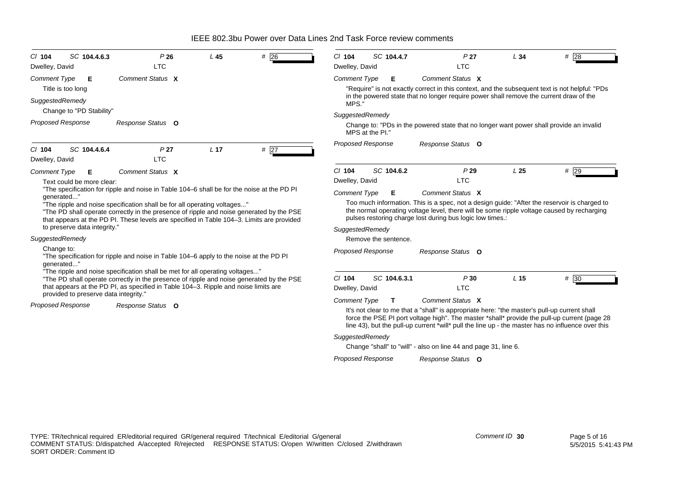| CI 104<br>Dwelley, David | SC 104.4.6.3                          | P26<br><b>LTC</b>                                                                                                                                                                                                                                                 | $L$ 45          | #<br>26 | $Cl$ 104<br>Dwelley, David | SC 104.4.7           | P <sub>27</sub><br><b>LTC</b>                                                                                                                                                                                                                                                                                         | L34             | #28  |
|--------------------------|---------------------------------------|-------------------------------------------------------------------------------------------------------------------------------------------------------------------------------------------------------------------------------------------------------------------|-----------------|---------|----------------------------|----------------------|-----------------------------------------------------------------------------------------------------------------------------------------------------------------------------------------------------------------------------------------------------------------------------------------------------------------------|-----------------|------|
| <b>Comment Type</b>      | Е<br>Title is too long                | Comment Status X                                                                                                                                                                                                                                                  |                 |         | <b>Comment Type</b>        | Е                    | Comment Status X<br>"Require" is not exactly correct in this context, and the subsequent text is not helpful: "PDs                                                                                                                                                                                                    |                 |      |
| SuggestedRemedy          | Change to "PD Stability"              |                                                                                                                                                                                                                                                                   |                 |         | MPS.'                      |                      | in the powered state that no longer require power shall remove the current draw of the                                                                                                                                                                                                                                |                 |      |
| Proposed Response        |                                       | Response Status O                                                                                                                                                                                                                                                 |                 |         | SuggestedRemedy            |                      |                                                                                                                                                                                                                                                                                                                       |                 |      |
|                          |                                       |                                                                                                                                                                                                                                                                   |                 |         |                            | MPS at the PI."      | Change to: "PDs in the powered state that no longer want power shall provide an invalid                                                                                                                                                                                                                               |                 |      |
| CI 104<br>Dwelley, David | SC 104.4.6.4                          | P <sub>27</sub><br><b>LTC</b>                                                                                                                                                                                                                                     | L <sub>17</sub> | #27     | Proposed Response          |                      | Response Status O                                                                                                                                                                                                                                                                                                     |                 |      |
| <b>Comment Type</b>      | Е<br>Text could be more clear:        | Comment Status X                                                                                                                                                                                                                                                  |                 |         | $Cl$ 104<br>Dwelley, David | SC 104.6.2           | P29<br><b>LTC</b>                                                                                                                                                                                                                                                                                                     | L25             | #29  |
| generated"               | to preserve data integrity."          | "The ripple and noise specification shall be for all operating voltages"<br>"The PD shall operate correctly in the presence of ripple and noise generated by the PSE<br>that appears at the PD PI. These levels are specified in Table 104–3. Limits are provided |                 |         | SuggestedRemedy            |                      | Too much information. This is a spec, not a design guide: "After the reservoir is charged to<br>the normal operating voltage level, there will be some ripple voltage caused by recharging<br>pulses restoring charge lost during bus logic low times.:                                                               |                 |      |
| SuggestedRemedy          |                                       |                                                                                                                                                                                                                                                                   |                 |         |                            | Remove the sentence. |                                                                                                                                                                                                                                                                                                                       |                 |      |
| Change to:<br>generated" |                                       | "The specification for ripple and noise in Table 104-6 apply to the noise at the PD PI                                                                                                                                                                            |                 |         | <b>Proposed Response</b>   |                      | Response Status O                                                                                                                                                                                                                                                                                                     |                 |      |
|                          |                                       | "The ripple and noise specification shall be met for all operating voltages"<br>"The PD shall operate correctly in the presence of ripple and noise generated by the PSE<br>that appears at the PD PI, as specified in Table 104-3. Ripple and noise limits are   |                 |         | $CI$ 104<br>Dwelley, David | SC 104.6.3.1         | P30<br><b>LTC</b>                                                                                                                                                                                                                                                                                                     | L <sub>15</sub> | # 30 |
| <b>Proposed Response</b> | provided to preserve data integrity." | Response Status O                                                                                                                                                                                                                                                 |                 |         | <b>Comment Type</b>        | T                    | Comment Status X<br>It's not clear to me that a "shall" is appropriate here: "the master's pull-up current shall<br>force the PSE PI port voltage high". The master *shall* provide the pull-up current (page 28<br>line 43), but the pull-up current *will* pull the line up - the master has no influence over this |                 |      |
|                          |                                       |                                                                                                                                                                                                                                                                   |                 |         | SuggestedRemedy            |                      | Change "shall" to "will" - also on line 44 and page 31, line 6.                                                                                                                                                                                                                                                       |                 |      |
|                          |                                       |                                                                                                                                                                                                                                                                   |                 |         | <b>Proposed Response</b>   |                      | Response Status O                                                                                                                                                                                                                                                                                                     |                 |      |
|                          |                                       |                                                                                                                                                                                                                                                                   |                 |         |                            |                      |                                                                                                                                                                                                                                                                                                                       |                 |      |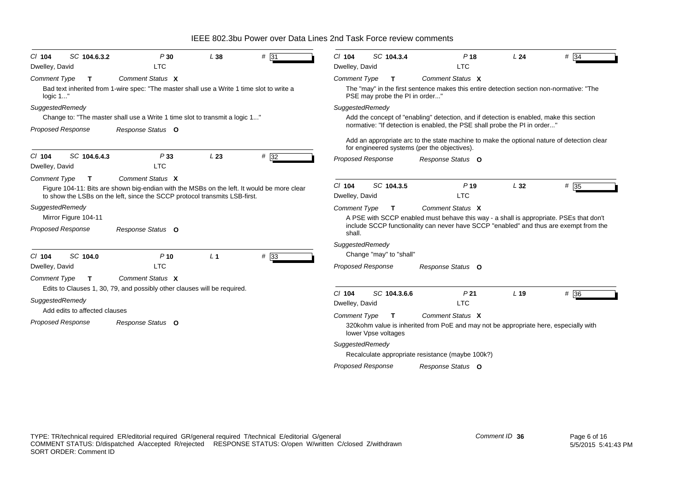| $CI$ 104<br>Dwelley, David      | SC 104.6.3.2                  | P30<br><b>LTC</b>                                                                                                                                                                            | L38            | # 31              | $Cl$ 104<br>Dwelley, David | SC 104.3.4                          | P <sub>18</sub><br><b>LTC</b>                                                                                                              | L24             | $#$ 34 |
|---------------------------------|-------------------------------|----------------------------------------------------------------------------------------------------------------------------------------------------------------------------------------------|----------------|-------------------|----------------------------|-------------------------------------|--------------------------------------------------------------------------------------------------------------------------------------------|-----------------|--------|
|                                 |                               | Comment Status X                                                                                                                                                                             |                |                   |                            |                                     | Comment Status X                                                                                                                           |                 |        |
| <b>Comment Type</b><br>logic 1" | $\mathbf{T}$                  | Bad text inherited from 1-wire spec: "The master shall use a Write 1 time slot to write a                                                                                                    |                |                   | <b>Comment Type</b>        | т<br>PSE may probe the PI in order" | The "may" in the first sentence makes this entire detection section non-normative: "The                                                    |                 |        |
| SuggestedRemedy                 |                               |                                                                                                                                                                                              |                |                   | SuggestedRemedy            |                                     |                                                                                                                                            |                 |        |
|                                 |                               | Change to: "The master shall use a Write 1 time slot to transmit a logic 1"                                                                                                                  |                |                   |                            |                                     | Add the concept of "enabling" detection, and if detection is enabled, make this section                                                    |                 |        |
| Proposed Response               |                               | Response Status O                                                                                                                                                                            |                |                   |                            |                                     | normative: "If detection is enabled, the PSE shall probe the PI in order"                                                                  |                 |        |
|                                 |                               |                                                                                                                                                                                              |                |                   |                            |                                     | Add an appropriate arc to the state machine to make the optional nature of detection clear<br>for engineered systems (per the objectives). |                 |        |
| $CI$ 104<br>Dwelley, David      | SC 104.6.4.3                  | P33<br><b>LTC</b>                                                                                                                                                                            | L23            | $# \overline{32}$ | <b>Proposed Response</b>   |                                     | Response Status O                                                                                                                          |                 |        |
| <b>Comment Type</b>             | T                             | Comment Status X<br>Figure 104-11: Bits are shown big-endian with the MSBs on the left. It would be more clear<br>to show the LSBs on the left, since the SCCP protocol transmits LSB-first. |                |                   | $Cl$ 104<br>Dwelley, David | SC 104.3.5                          | $P$ 19<br><b>LTC</b>                                                                                                                       | L32             | $#$ 35 |
| SuggestedRemedy                 |                               |                                                                                                                                                                                              |                |                   | <b>Comment Type</b>        | $\mathbf{T}$                        | Comment Status X                                                                                                                           |                 |        |
|                                 | Mirror Figure 104-11          |                                                                                                                                                                                              |                |                   |                            |                                     | A PSE with SCCP enabled must behave this way - a shall is appropriate. PSEs that don't                                                     |                 |        |
| Proposed Response               |                               | Response Status O                                                                                                                                                                            |                |                   | shall.                     |                                     | include SCCP functionality can never have SCCP "enabled" and thus are exempt from the                                                      |                 |        |
|                                 |                               |                                                                                                                                                                                              |                |                   | SuggestedRemedy            |                                     |                                                                                                                                            |                 |        |
| $Cl$ 104                        | SC 104.0                      | $P$ 10                                                                                                                                                                                       | L <sub>1</sub> | $# \overline{33}$ |                            | Change "may" to "shall"             |                                                                                                                                            |                 |        |
| Dwelley, David                  |                               | <b>LTC</b>                                                                                                                                                                                   |                |                   | <b>Proposed Response</b>   |                                     | Response Status O                                                                                                                          |                 |        |
| <b>Comment Type</b>             | $\mathbf{T}$                  | Comment Status X                                                                                                                                                                             |                |                   |                            |                                     |                                                                                                                                            |                 |        |
|                                 |                               | Edits to Clauses 1, 30, 79, and possibly other clauses will be required.                                                                                                                     |                |                   |                            |                                     |                                                                                                                                            |                 |        |
| SuggestedRemedy                 | Add edits to affected clauses |                                                                                                                                                                                              |                |                   | $Cl$ 104<br>Dwelley, David | SC 104.3.6.6                        | P <sub>21</sub><br><b>LTC</b>                                                                                                              | L <sub>19</sub> | #36    |
|                                 |                               |                                                                                                                                                                                              |                |                   | <b>Comment Type</b>        | т                                   | Comment Status X                                                                                                                           |                 |        |
| Proposed Response               |                               | Response Status O                                                                                                                                                                            |                |                   |                            | lower Vpse voltages                 | 320 kohm value is inherited from PoE and may not be appropriate here, especially with                                                      |                 |        |
|                                 |                               |                                                                                                                                                                                              |                |                   | SuggestedRemedy            |                                     |                                                                                                                                            |                 |        |
|                                 |                               |                                                                                                                                                                                              |                |                   |                            |                                     | Recalculate appropriate resistance (maybe 100k?)                                                                                           |                 |        |
|                                 |                               |                                                                                                                                                                                              |                |                   | <b>Proposed Response</b>   |                                     | Response Status O                                                                                                                          |                 |        |
|                                 |                               |                                                                                                                                                                                              |                |                   |                            |                                     |                                                                                                                                            |                 |        |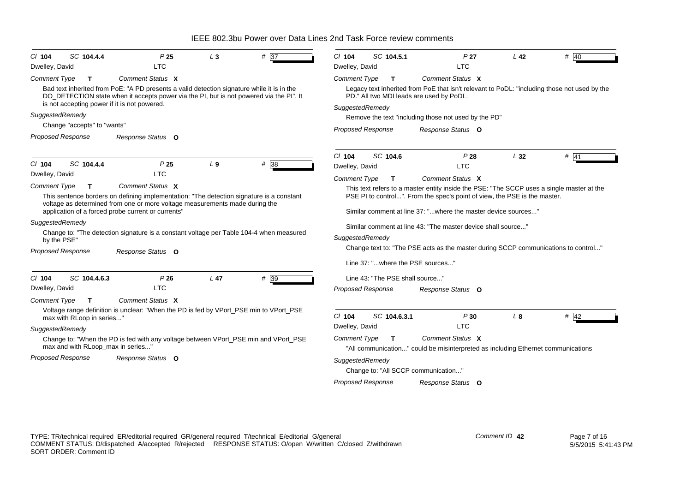| CI 104                   | SC 104.4.4                        | P <sub>25</sub>                                                                                                                                                                                                                       | $L_3$           | $# \overline{37}$ | $Cl$ 104                                                                                                                                 | SC 104.5.1                       | P <sub>27</sub>                                                                                      | L <sub>42</sub> | # 40   |  |
|--------------------------|-----------------------------------|---------------------------------------------------------------------------------------------------------------------------------------------------------------------------------------------------------------------------------------|-----------------|-------------------|------------------------------------------------------------------------------------------------------------------------------------------|----------------------------------|------------------------------------------------------------------------------------------------------|-----------------|--------|--|
| Dwelley, David           |                                   | <b>LTC</b>                                                                                                                                                                                                                            |                 |                   | Dwelley, David                                                                                                                           |                                  | <b>LTC</b>                                                                                           |                 |        |  |
| <b>Comment Type</b>      | T                                 | Comment Status X                                                                                                                                                                                                                      |                 |                   | <b>Comment Type</b>                                                                                                                      | T.                               | Comment Status X                                                                                     |                 |        |  |
|                          |                                   | Bad text inherited from PoE: "A PD presents a valid detection signature while it is in the<br>DO_DETECTION state when it accepts power via the PI, but is not powered via the PI". It<br>is not accepting power if it is not powered. |                 |                   | Legacy text inherited from PoE that isn't relevant to PoDL: "including those not used by the<br>PD." All two MDI leads are used by PoDL. |                                  |                                                                                                      |                 |        |  |
|                          |                                   |                                                                                                                                                                                                                                       |                 |                   | SuggestedRemedy                                                                                                                          |                                  |                                                                                                      |                 |        |  |
| SuggestedRemedy          | Change "accepts" to "wants"       |                                                                                                                                                                                                                                       |                 |                   |                                                                                                                                          |                                  | Remove the text "including those not used by the PD"                                                 |                 |        |  |
|                          |                                   |                                                                                                                                                                                                                                       |                 |                   | <b>Proposed Response</b>                                                                                                                 |                                  | Response Status O                                                                                    |                 |        |  |
| <b>Proposed Response</b> |                                   | Response Status O                                                                                                                                                                                                                     |                 |                   |                                                                                                                                          |                                  |                                                                                                      |                 |        |  |
|                          |                                   |                                                                                                                                                                                                                                       |                 |                   | $Cl$ 104                                                                                                                                 | SC 104.6                         | P28                                                                                                  | L32             | $#$ 41 |  |
| $Cl$ 104                 | SC 104.4.4                        | P <sub>25</sub>                                                                                                                                                                                                                       | L <sub>9</sub>  | #38               | Dwelley, David                                                                                                                           |                                  | <b>LTC</b>                                                                                           |                 |        |  |
| Dwelley, David           |                                   | LTC                                                                                                                                                                                                                                   |                 |                   | <b>Comment Type</b>                                                                                                                      | T                                | Comment Status X                                                                                     |                 |        |  |
| <b>Comment Type</b>      | T                                 | Comment Status X                                                                                                                                                                                                                      |                 |                   |                                                                                                                                          |                                  | This text refers to a master entity inside the PSE: "The SCCP uses a single master at the            |                 |        |  |
|                          |                                   | This sentence borders on defining implementation: "The detection signature is a constant                                                                                                                                              |                 |                   |                                                                                                                                          |                                  | PSE PI to control". From the spec's point of view, the PSE is the master.                            |                 |        |  |
|                          |                                   | voltage as determined from one or more voltage measurements made during the<br>application of a forced probe current or currents"                                                                                                     |                 |                   |                                                                                                                                          |                                  | Similar comment at line 37: "where the master device sources"                                        |                 |        |  |
| SuggestedRemedy          |                                   |                                                                                                                                                                                                                                       |                 |                   |                                                                                                                                          |                                  | Similar comment at line 43: "The master device shall source"                                         |                 |        |  |
| by the PSE"              |                                   | Change to: "The detection signature is a constant voltage per Table 104-4 when measured                                                                                                                                               |                 |                   | SuggestedRemedy                                                                                                                          |                                  |                                                                                                      |                 |        |  |
|                          |                                   |                                                                                                                                                                                                                                       |                 |                   |                                                                                                                                          |                                  | Change text to: "The PSE acts as the master during SCCP communications to control"                   |                 |        |  |
| <b>Proposed Response</b> |                                   | Response Status O                                                                                                                                                                                                                     |                 |                   |                                                                                                                                          |                                  |                                                                                                      |                 |        |  |
|                          |                                   |                                                                                                                                                                                                                                       |                 |                   |                                                                                                                                          | Line 37: "where the PSE sources" |                                                                                                      |                 |        |  |
| $Cl$ 104                 | SC 104.4.6.3                      | P26                                                                                                                                                                                                                                   | L <sub>47</sub> | # 39              |                                                                                                                                          | Line 43: "The PSE shall source"  |                                                                                                      |                 |        |  |
| Dwelley, David           |                                   | <b>LTC</b>                                                                                                                                                                                                                            |                 |                   | <b>Proposed Response</b>                                                                                                                 |                                  | Response Status O                                                                                    |                 |        |  |
| <b>Comment Type</b>      | T                                 | Comment Status X                                                                                                                                                                                                                      |                 |                   |                                                                                                                                          |                                  |                                                                                                      |                 |        |  |
|                          | max with RLoop in series"         | Voltage range definition is unclear: "When the PD is fed by VPort_PSE min to VPort_PSE                                                                                                                                                |                 |                   | $Cl$ 104                                                                                                                                 | SC 104.6.3.1                     | P30                                                                                                  | L8              | $#$ 42 |  |
| SuggestedRemedy          |                                   |                                                                                                                                                                                                                                       |                 |                   | Dwelley, David                                                                                                                           |                                  | <b>LTC</b>                                                                                           |                 |        |  |
|                          | max and with RLoop_max in series" | Change to: "When the PD is fed with any voltage between VPort_PSE min and VPort_PSE                                                                                                                                                   |                 |                   | <b>Comment Type</b>                                                                                                                      | т                                | Comment Status X<br>"All communication" could be misinterpreted as including Ethernet communications |                 |        |  |
| <b>Proposed Response</b> |                                   | Response Status O                                                                                                                                                                                                                     |                 |                   | SuggestedRemedy                                                                                                                          |                                  |                                                                                                      |                 |        |  |
|                          |                                   |                                                                                                                                                                                                                                       |                 |                   |                                                                                                                                          |                                  | Change to: "All SCCP communication"                                                                  |                 |        |  |
|                          |                                   |                                                                                                                                                                                                                                       |                 |                   | <b>Proposed Response</b>                                                                                                                 |                                  | Response Status O                                                                                    |                 |        |  |
|                          |                                   |                                                                                                                                                                                                                                       |                 |                   |                                                                                                                                          |                                  |                                                                                                      |                 |        |  |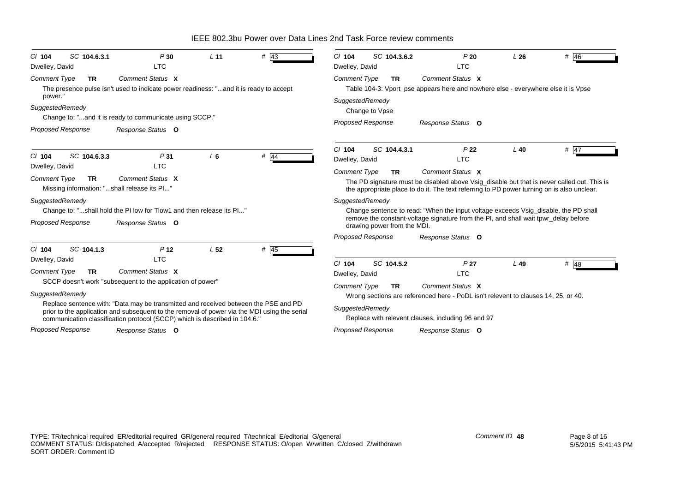| SC 104.6.3.1<br>$CI$ 104<br>Dwelley, David                                                        | P30<br><b>LTC</b>                                                                                                                                                                                                                                                                                                                                                                   | L <sub>11</sub> | # 43   | SC 104.3.6.2<br>$Cl$ 104<br>Dwelley, David                                                      | P20<br><b>LTC</b>                                                                                                                                                                                            | L26    | # $46$ |
|---------------------------------------------------------------------------------------------------|-------------------------------------------------------------------------------------------------------------------------------------------------------------------------------------------------------------------------------------------------------------------------------------------------------------------------------------------------------------------------------------|-----------------|--------|-------------------------------------------------------------------------------------------------|--------------------------------------------------------------------------------------------------------------------------------------------------------------------------------------------------------------|--------|--------|
| <b>Comment Type</b><br><b>TR</b><br>power."                                                       | Comment Status X<br>The presence pulse isn't used to indicate power readiness: "and it is ready to accept                                                                                                                                                                                                                                                                           |                 |        | <b>Comment Type</b><br><b>TR</b>                                                                | Comment Status X<br>Table 104-3: Vport_pse appears here and nowhere else - everywhere else it is Vpse                                                                                                        |        |        |
| SuggestedRemedy<br>Proposed Response                                                              | Change to: "and it is ready to communicate using SCCP."<br>Response Status O                                                                                                                                                                                                                                                                                                        |                 |        | SuggestedRemedy<br>Change to Vpse<br><b>Proposed Response</b>                                   | Response Status O                                                                                                                                                                                            |        |        |
| SC 104.6.3.3<br>$CI$ 104                                                                          | P31                                                                                                                                                                                                                                                                                                                                                                                 | $L_6$           | $#$ 44 | SC 104.4.3.1<br>$Cl$ 104<br>Dwelley, David                                                      | P <sub>22</sub><br><b>LTC</b>                                                                                                                                                                                | $L$ 40 | $#$ 47 |
| Dwelley, David<br><b>Comment Type</b><br><b>TR</b><br>Missing information: "shall release its Pl" | <b>LTC</b><br>Comment Status X                                                                                                                                                                                                                                                                                                                                                      |                 |        | <b>Comment Type</b><br><b>TR</b>                                                                | Comment Status X<br>The PD signature must be disabled above Vsig_disable but that is never called out. This is<br>the appropriate place to do it. The text referring to PD power turning on is also unclear. |        |        |
| SuggestedRemedy<br><b>Proposed Response</b>                                                       | Change to: "shall hold the PI low for Tlow1 and then release its PI"<br>Response Status O                                                                                                                                                                                                                                                                                           |                 |        | SuggestedRemedy<br>drawing power from the MDI.                                                  | Change sentence to read: "When the input voltage exceeds Vsig disable, the PD shall<br>remove the constant-voltage signature from the PI, and shall wait tpwr_delay before                                   |        |        |
| SC 104.1.3                                                                                        |                                                                                                                                                                                                                                                                                                                                                                                     |                 |        | <b>Proposed Response</b>                                                                        | Response Status O                                                                                                                                                                                            |        |        |
| C/ 104<br>Dwelley, David<br><b>Comment Type</b><br><b>TR</b><br>SuggestedRemedy                   | P <sub>12</sub><br><b>LTC</b><br>Comment Status X<br>SCCP doesn't work "subsequent to the application of power"<br>Replace sentence with: "Data may be transmitted and received between the PSE and PD<br>prior to the application and subsequent to the removal of power via the MDI using the serial<br>communication classification protocol (SCCP) which is described in 104.6. | L <sub>52</sub> | # $45$ | SC 104.5.2<br>$Cl$ 104<br>Dwelley, David<br><b>Comment Type</b><br><b>TR</b><br>SuggestedRemedy | P <sub>27</sub><br><b>LTC</b><br>Comment Status X<br>Wrong sections are referenced here - PoDL isn't relevent to clauses 14, 25, or 40.<br>Replace with relevent clauses, including 96 and 97                | $L$ 49 | # $48$ |
| <b>Proposed Response</b>                                                                          | Response Status O                                                                                                                                                                                                                                                                                                                                                                   |                 |        | <b>Proposed Response</b>                                                                        | Response Status O                                                                                                                                                                                            |        |        |

*Comment ID* **48**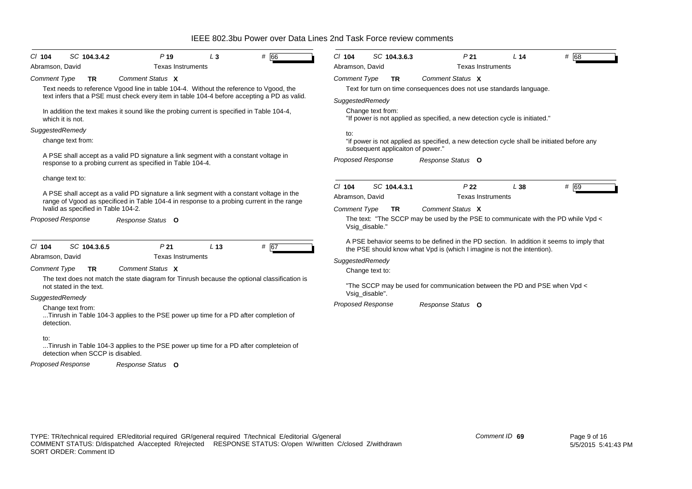| # 66<br>SC 104.3.4.2<br>P <sub>19</sub><br>$Cl$ 104<br>$L_3$                                                                                       | # 68<br>$Cl$ 104<br>SC 104.3.6.3<br>P <sub>21</sub><br>L <sub>14</sub>                                                                                              |  |  |  |  |  |
|----------------------------------------------------------------------------------------------------------------------------------------------------|---------------------------------------------------------------------------------------------------------------------------------------------------------------------|--|--|--|--|--|
| Abramson, David<br><b>Texas Instruments</b>                                                                                                        | Abramson, David<br><b>Texas Instruments</b>                                                                                                                         |  |  |  |  |  |
| Comment Status X<br><b>Comment Type</b><br><b>TR</b>                                                                                               | <b>Comment Type</b><br>Comment Status X<br>TR.                                                                                                                      |  |  |  |  |  |
| Text needs to reference Vgood line in table 104-4. Without the reference to Vgood, the                                                             | Text for turn on time consequences does not use standards language.                                                                                                 |  |  |  |  |  |
| text infers that a PSE must check every item in table 104-4 before accepting a PD as valid.                                                        | SuggestedRemedy                                                                                                                                                     |  |  |  |  |  |
| In addition the text makes it sound like the probing current is specified in Table 104-4,<br>which it is not.                                      | Change text from:<br>"If power is not applied as specified, a new detection cycle is initiated."                                                                    |  |  |  |  |  |
| SuggestedRemedy                                                                                                                                    |                                                                                                                                                                     |  |  |  |  |  |
| change text from:                                                                                                                                  | to:<br>"if power is not applied as specified, a new detection cycle shall be initiated before any<br>subsequent applicaiton of power."                              |  |  |  |  |  |
| A PSE shall accept as a valid PD signature a link segment with a constant voltage in<br>response to a probing current as specified in Table 104-4. | <b>Proposed Response</b><br>Response Status O                                                                                                                       |  |  |  |  |  |
| change text to:                                                                                                                                    |                                                                                                                                                                     |  |  |  |  |  |
| A PSE shall accept as a valid PD signature a link segment with a constant voltage in the                                                           | # 69<br>SC 104.4.3.1<br>$Cl$ 104<br>P <sub>22</sub><br>L38                                                                                                          |  |  |  |  |  |
| range of Vgood as specificed in Table 104-4 in response to a probing current in the range                                                          | Abramson, David<br><b>Texas Instruments</b>                                                                                                                         |  |  |  |  |  |
| Ivalid as specified in Table 104-2.                                                                                                                | Comment Status X<br><b>Comment Type</b><br><b>TR</b>                                                                                                                |  |  |  |  |  |
| <b>Proposed Response</b><br>Response Status O                                                                                                      | The text: "The SCCP may be used by the PSE to communicate with the PD while Vpd <<br>Vsig_disable."                                                                 |  |  |  |  |  |
| P <sub>21</sub><br># 67<br>SC 104.3.6.5<br>L <sub>13</sub><br>$CI$ 104                                                                             | A PSE behavior seems to be defined in the PD section. In addition it seems to imply that<br>the PSE should know what Vpd is (which I imagine is not the intention). |  |  |  |  |  |
| <b>Texas Instruments</b><br>Abramson, David                                                                                                        | SuggestedRemedy                                                                                                                                                     |  |  |  |  |  |
| Comment Status X<br><b>Comment Type</b><br><b>TR</b>                                                                                               | Change text to:                                                                                                                                                     |  |  |  |  |  |
| The text does not match the state diagram for Tinrush because the optional classification is                                                       |                                                                                                                                                                     |  |  |  |  |  |
| not stated in the text.                                                                                                                            | "The SCCP may be used for communication between the PD and PSE when Vpd <                                                                                           |  |  |  |  |  |
| SuggestedRemedy                                                                                                                                    | Vsig_disable".                                                                                                                                                      |  |  |  |  |  |
| Change text from:<br>Tinrush in Table 104-3 applies to the PSE power up time for a PD after completion of<br>detection.                            | <b>Proposed Response</b><br>Response Status O                                                                                                                       |  |  |  |  |  |
| to:<br>Tinrush in Table 104-3 applies to the PSE power up time for a PD after completeion of<br>detection when SCCP is disabled.                   |                                                                                                                                                                     |  |  |  |  |  |
| <b>Proposed Response</b><br>Response Status O                                                                                                      |                                                                                                                                                                     |  |  |  |  |  |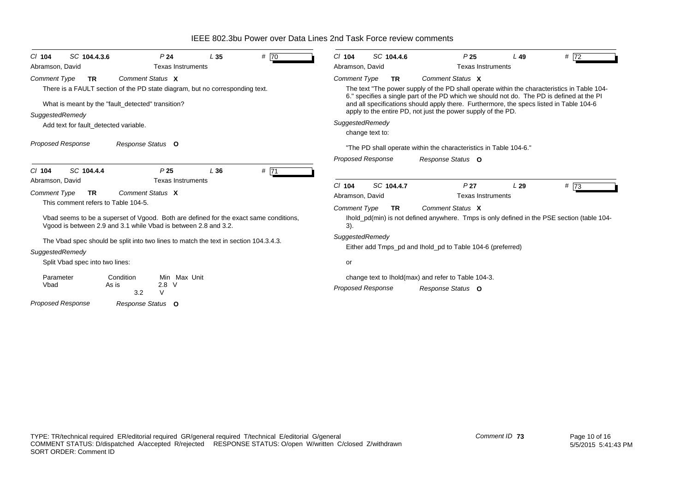*Proposed Response Cl* **104** *SC* **104.4.3.6** *P* **24** *L* **35** *#* 70*Comment Type* **TR** There is a FAULT section of the PD state diagram, but no corresponding text. What is meant by the "fault detected" transition? *SuggestedRemedy* Add text for fault detected variable. *Comment Status***X***Response Status* **O**Abramson, David **Texas Instruments** *Proposed Response Cl* **104** *SC* **104.4.4** *P* **25** *L* **36** *#* 71*Comment Type* **TR** This comment refers to Table 104-5. Vbad seems to be a superset of Vgood. Both are defined for the exact same conditions, Vgood is between 2.9 and 3.1 while Vbad is between 2.8 and 3.2. The Vbad spec should be split into two lines to match the text in section 104.3.4.3. *SuggestedRemedy* Split Vbad spec into two lines: Parameter Condition Min Max UnitVbad As is 2.8 V 3.2 V*Comment Status***X***Response Status* **O**Abramson, David **Texas Instruments** *Proposed Response Cl* **104** *SC* **104.4.6** *P* **25** *L* **49** *#* 72*Comment Type* **TR** The text "The power supply of the PD shall operate within the characteristics in Table 104- 6." specifies a single part of the PD which we should not do. The PD is defined at the PI and all specifications should apply there. Furthermore, the specs listed in Table 104-6 apply to the entire PD, not just the power supply of the PD. *SuggestedRemedy* change text to: "The PD shall operate within the characteristics in Table 104-6." *Comment Status***X***Response Status* **O**Abramson, David Texas Instruments *Proposed Response Cl* **104** *SC* **104.4.7** *P* **27** *L* **29** *#* 73*Comment Type* **TR** Ihold\_pd(min) is not defined anywhere. Tmps is only defined in the PSE section (table 104- 3). *SuggestedRemedy* Either add Tmps\_pd and Ihold\_pd to Table 104-6 (preferred) orchange text to Ihold(max) and refer to Table 104-3. *Comment Status***X***Response Status* **O**Abramson, David Texas Instruments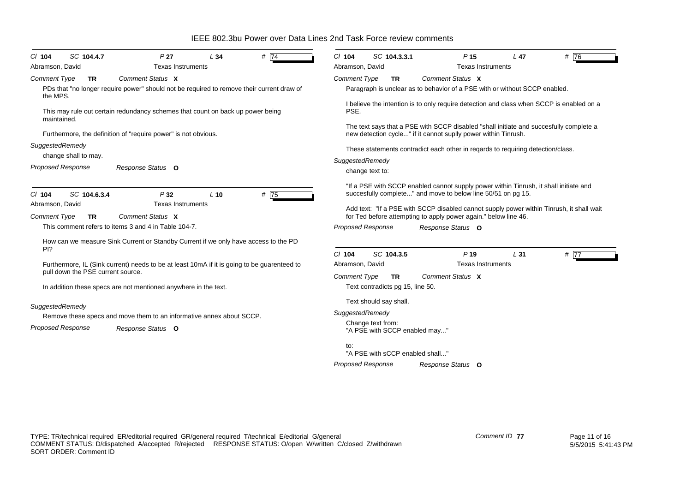IEEE 802.3bu Power over Data Lines 2nd Task Force review comments*Proposed Response Cl* **104** *SC* **104.4.7** *P* **27** *L* **34** *#* 74*Comment Type* **TR** PDs that "no longer require power" should not be required to remove their current draw of the MPS.This may rule out certain redundancy schemes that count on back up power being maintained. Furthermore, the definition of "require power" is not obvious. *SuggestedRemedy* change shall to may. *Comment Status***X***Response Status* **O**Abramson, David **Texas Instruments** *Proposed Response Cl* **104** *SC* **104.6.3.4** *P* **32** *L* **10** *#* 75*Comment Type* **TR** This comment refers to items 3 and 4 in Table 104-7.How can we measure Sink Current or Standby Current if we only have access to the PD PI? Furthermore, IL (Sink current) needs to be at least 10mA if it is going to be guarenteed to pull down the PSE current source. In addition these specs are not mentioned anywhere in the text. *SuggestedRemedy* Remove these specs and move them to an informative annex about SCCP. *Comment Status***X***Response Status* **O**Abramson, David **Texas Instruments** *Proposed Response Cl* **104** *SC* **104.3.3.1** *P* **15** *L* **47** *#* 76*Comment Type* **TR** Paragraph is unclear as to behavior of a PSE with or without SCCP enabled. I believe the intention is to only require detection and class when SCCP is enabled on a PSE.The text says that a PSE with SCCP disabled "shall initiate and succesfully complete a new detection cycle..." if it cannot suplly power within Tinrush. These statements contradict each other in reqards to requiring detection/class. *SuggestedRemedy* change text to: "If a PSE with SCCP enabled cannot supply power within Tinrush, it shall initiate and succesfully complete..." and move to below line 50/51 on pg 15. Add text: "If a PSE with SCCP disabled cannot supply power within Tinrush, it shall wait for Ted before attempting to apply power again." below line 46. *Comment Status***X***Response Status* **O**Abramson, David Texas Instruments *Cl* **104** *SC* **104.3.5** *P* **19** *L* **31** *#* 77*Comment Type* **TR** Text contradicts pg 15, line 50. Text should say shall. *SuggestedRemedy* Change text from: "A PSE with SCCP enabled may..." to:*Comment Status***X**Abramson, David Texas Instruments

*Proposed Response*

"A PSE with sCCP enabled shall..."

*Response Status* **O**

COMMENT STATUS: D/dispatched A/accepted R/rejected RESPONSE STATUS: O/open W/written C/closed Z/withdrawn

TYPE: TR/technical required ER/editorial required GR/general required T/technical E/editorial G/general

SORT ORDER: Comment ID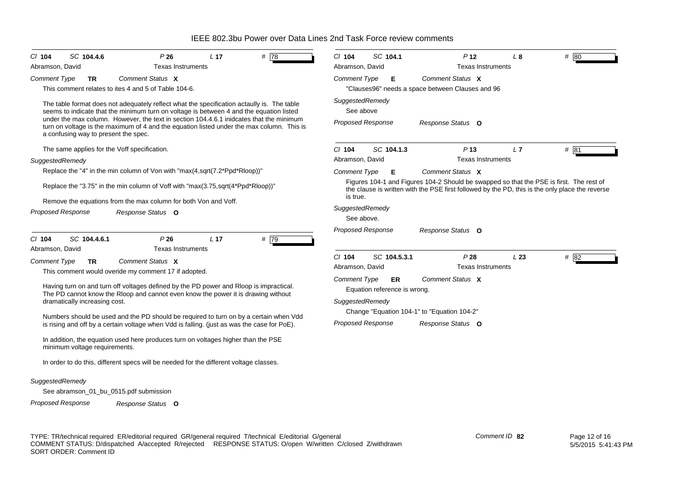| $CI$ 104                                                                                                  | SC 104.4.6                           | P26                                                                                                                                                                                   | L <sub>17</sub> | # 78 | $Cl$ 104                      | SC 104.1                           | P <sub>12</sub>                                                                                                                                                                            | $L_{\rm 8}$ | # 80 |
|-----------------------------------------------------------------------------------------------------------|--------------------------------------|---------------------------------------------------------------------------------------------------------------------------------------------------------------------------------------|-----------------|------|-------------------------------|------------------------------------|--------------------------------------------------------------------------------------------------------------------------------------------------------------------------------------------|-------------|------|
| Abramson, David                                                                                           |                                      | <b>Texas Instruments</b>                                                                                                                                                              |                 |      | Abramson, David               |                                    | <b>Texas Instruments</b>                                                                                                                                                                   |             |      |
| <b>Comment Type</b>                                                                                       | <b>TR</b>                            | Comment Status X                                                                                                                                                                      |                 |      | <b>Comment Type</b>           | Е.                                 | Comment Status X                                                                                                                                                                           |             |      |
|                                                                                                           |                                      | This comment relates to ites 4 and 5 of Table 104-6.                                                                                                                                  |                 |      |                               |                                    | "Clauses96" needs a space between Clauses and 96                                                                                                                                           |             |      |
|                                                                                                           |                                      | The table format does not adequately reflect what the specification actaully is. The table<br>seems to indicate that the minimum turn on voltage is between 4 and the equation listed |                 |      | SuggestedRemedy<br>See above  |                                    |                                                                                                                                                                                            |             |      |
|                                                                                                           | a confusing way to present the spec. | under the max column. However, the text in section 104.4.6.1 inidcates that the minimum<br>turn on voltage is the maximum of 4 and the equation listed under the max column. This is  |                 |      | <b>Proposed Response</b>      |                                    | Response Status O                                                                                                                                                                          |             |      |
|                                                                                                           |                                      | The same applies for the Voff specification.                                                                                                                                          |                 |      | $Cl$ 104                      | SC 104.1.3                         | P <sub>13</sub>                                                                                                                                                                            | L7          | # 81 |
| SuggestedRemedy                                                                                           |                                      |                                                                                                                                                                                       |                 |      | Abramson, David               |                                    | <b>Texas Instruments</b>                                                                                                                                                                   |             |      |
|                                                                                                           |                                      | Replace the "4" in the min column of Von with "max(4,sqrt(7.2*Ppd*Rloop))"                                                                                                            |                 |      | <b>Comment Type</b>           | Е                                  | Comment Status X                                                                                                                                                                           |             |      |
|                                                                                                           |                                      | Replace the "3.75" in the min column of Voff with "max(3.75,sqrt(4*Ppd*Rloop))"                                                                                                       |                 |      | is true.                      |                                    | Figures 104-1 and Figures 104-2 Should be swapped so that the PSE is first. The rest of<br>the clause is written with the PSE first followed by the PD, this is the only place the reverse |             |      |
| Remove the equations from the max column for both Von and Voff.<br>Proposed Response<br>Response Status O |                                      |                                                                                                                                                                                       |                 |      | SuggestedRemedy<br>See above. |                                    |                                                                                                                                                                                            |             |      |
| C/ 104                                                                                                    | SC 104.4.6.1                         | P26<br><b>Texas Instruments</b>                                                                                                                                                       | L <sub>17</sub> | # 79 | <b>Proposed Response</b>      |                                    | Response Status O                                                                                                                                                                          |             |      |
| Abramson, David                                                                                           |                                      |                                                                                                                                                                                       |                 |      | $CI$ 104                      | SC 104.5.3.1                       | P28                                                                                                                                                                                        | L23         | # 82 |
| <b>Comment Type</b>                                                                                       | <b>TR</b>                            | Comment Status X                                                                                                                                                                      |                 |      | Abramson, David               |                                    | <b>Texas Instruments</b>                                                                                                                                                                   |             |      |
|                                                                                                           |                                      | This comment would overide my comment 17 if adopted.                                                                                                                                  |                 |      | <b>Comment Type</b>           |                                    | Comment Status X                                                                                                                                                                           |             |      |
|                                                                                                           |                                      | Having turn on and turn off voltages defined by the PD power and Rloop is impractical.<br>The PD cannot know the Rloop and cannot even know the power it is drawing without           |                 |      |                               | ER<br>Equation reference is wrong. |                                                                                                                                                                                            |             |      |
|                                                                                                           | dramatically increasing cost.        |                                                                                                                                                                                       |                 |      | SuggestedRemedy               |                                    | Change "Equation 104-1" to "Equation 104-2"                                                                                                                                                |             |      |
|                                                                                                           |                                      | Numbers should be used and the PD should be required to turn on by a certain when Vdd<br>is rising and off by a certain voltage when Vdd is falling. (just as was the case for PoE).  |                 |      | <b>Proposed Response</b>      |                                    | Response Status O                                                                                                                                                                          |             |      |
|                                                                                                           | minimum voltage requirements.        | In addition, the equation used here produces turn on voltages higher than the PSE                                                                                                     |                 |      |                               |                                    |                                                                                                                                                                                            |             |      |
|                                                                                                           |                                      | In order to do this, different specs will be needed for the different voltage classes.                                                                                                |                 |      |                               |                                    |                                                                                                                                                                                            |             |      |
| SuggestedRemedy                                                                                           |                                      |                                                                                                                                                                                       |                 |      |                               |                                    |                                                                                                                                                                                            |             |      |
|                                                                                                           |                                      | See abramson_01_bu_0515.pdf submission                                                                                                                                                |                 |      |                               |                                    |                                                                                                                                                                                            |             |      |

TYPE: TR/technical required ER/editorial required GR/general required T/technical E/editorial G/general COMMENT STATUS: D/dispatched A/accepted R/rejected RESPONSE STATUS: O/open W/written C/closed Z/withdrawn SORT ORDER: Comment ID

*Response Status* **O**

*Proposed Response*

*Comment ID* **82**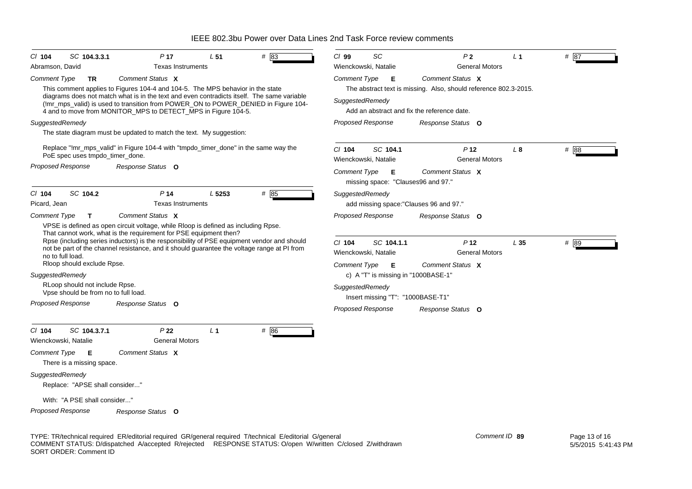| $CI$ 104<br>SC 104.3.3.1                                               | P <sub>17</sub>                                                                                                                                                                                                                                                                                                                                      | L <sub>51</sub> | #83  | $Cl$ 99         | SC                                                          | P <sub>2</sub>                                                                                                  | L <sub>1</sub> | # 87 |
|------------------------------------------------------------------------|------------------------------------------------------------------------------------------------------------------------------------------------------------------------------------------------------------------------------------------------------------------------------------------------------------------------------------------------------|-----------------|------|-----------------|-------------------------------------------------------------|-----------------------------------------------------------------------------------------------------------------|----------------|------|
| Abramson, David                                                        | <b>Texas Instruments</b>                                                                                                                                                                                                                                                                                                                             |                 |      |                 | Wienckowski, Natalie                                        | <b>General Motors</b>                                                                                           |                |      |
| Comment Type<br>TR                                                     | Comment Status X                                                                                                                                                                                                                                                                                                                                     |                 |      |                 | Comment Type E                                              | Comment Status X                                                                                                |                |      |
|                                                                        | This comment applies to Figures 104-4 and 104-5. The MPS behavior in the state<br>diagrams does not match what is in the text and even contradicts itself. The same variable<br>(!mr mps valid) is used to transition from POWER ON to POWER DENIED in Figure 104-<br>4 and to move from MONITOR_MPS to DETECT_MPS in Figure 104-5.                  |                 |      | SuggestedRemedy |                                                             | The abstract text is missing. Also, should reference 802.3-2015.<br>Add an abstract and fix the reference date. |                |      |
| SuggestedRemedy                                                        |                                                                                                                                                                                                                                                                                                                                                      |                 |      |                 | <b>Proposed Response</b>                                    | Response Status O                                                                                               |                |      |
|                                                                        | The state diagram must be updated to match the text. My suggestion:                                                                                                                                                                                                                                                                                  |                 |      |                 |                                                             |                                                                                                                 |                |      |
| PoE spec uses tmpdo_timer_done.                                        | Replace "!mr_mps_valid" in Figure 104-4 with "tmpdo_timer_done" in the same way the                                                                                                                                                                                                                                                                  |                 |      | $Cl$ 104        | SC 104.1<br>Wienckowski, Natalie                            | P <sub>12</sub><br><b>General Motors</b>                                                                        | L <sub>8</sub> | # 88 |
| Proposed Response                                                      | Response Status O                                                                                                                                                                                                                                                                                                                                    |                 |      |                 | Comment Type <b>E</b><br>missing space: "Clauses96 and 97." | Comment Status X                                                                                                |                |      |
| SC 104.2<br>$Cl$ 104<br>Picard, Jean                                   | P <sub>14</sub><br><b>Texas Instruments</b>                                                                                                                                                                                                                                                                                                          | L 5253          | # 85 | SuggestedRemedy |                                                             | add missing space: "Clauses 96 and 97."                                                                         |                |      |
| <b>Comment Type</b><br>T                                               | Comment Status X                                                                                                                                                                                                                                                                                                                                     |                 |      |                 | Proposed Response                                           | Response Status O                                                                                               |                |      |
| no to full load.                                                       | VPSE is defined as open circuit voltage, while Rloop is defined as including Rpse.<br>That cannot work, what is the requirement for PSE equipment then?<br>Rpse (including series inductors) is the responsibility of PSE equipment vendor and should<br>not be part of the channel resistance, and it should quarantee the voltage range at PI from |                 |      | $Cl$ 104        | SC 104.1.1<br>Wienckowski, Natalie                          | P <sub>12</sub><br><b>General Motors</b>                                                                        | L35            | # 89 |
| Rloop should exclude Rpse.                                             |                                                                                                                                                                                                                                                                                                                                                      |                 |      |                 | Comment Type <b>E</b>                                       | Comment Status X                                                                                                |                |      |
| SuggestedRemedy                                                        |                                                                                                                                                                                                                                                                                                                                                      |                 |      |                 | c) A "T" is missing in "1000BASE-1"                         |                                                                                                                 |                |      |
| RLoop should not include Rpse.<br>Vpse should be from no to full load. |                                                                                                                                                                                                                                                                                                                                                      |                 |      | SuggestedRemedy | Insert missing "T": "1000BASE-T1"                           |                                                                                                                 |                |      |
| Proposed Response                                                      | Response Status O                                                                                                                                                                                                                                                                                                                                    |                 |      |                 | <b>Proposed Response</b>                                    | Response Status O                                                                                               |                |      |
| SC 104.3.7.1<br>$Cl$ 104<br>Wienckowski, Natalie                       | P <sub>22</sub><br><b>General Motors</b>                                                                                                                                                                                                                                                                                                             | L <sub>1</sub>  | # 86 |                 |                                                             |                                                                                                                 |                |      |
| Comment Type<br>Е<br>There is a missing space.                         | Comment Status X                                                                                                                                                                                                                                                                                                                                     |                 |      |                 |                                                             |                                                                                                                 |                |      |
| SuggestedRemedy<br>Replace: "APSE shall consider"                      |                                                                                                                                                                                                                                                                                                                                                      |                 |      |                 |                                                             |                                                                                                                 |                |      |
| With: "A PSE shall consider"                                           |                                                                                                                                                                                                                                                                                                                                                      |                 |      |                 |                                                             |                                                                                                                 |                |      |
| Proposed Response                                                      | Response Status O                                                                                                                                                                                                                                                                                                                                    |                 |      |                 |                                                             |                                                                                                                 |                |      |

TYPE: TR/technical required ER/editorial required GR/general required T/technical E/editorial G/general COMMENT STATUS: D/dispatched A/accepted R/rejected RESPONSE STATUS: O/open W/written C/closed Z/withdrawn SORT ORDER: Comment ID *Comment ID* **89**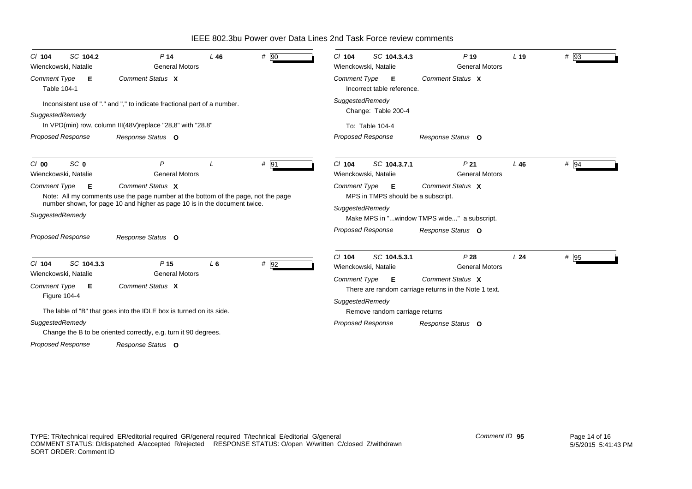| SC 104.2<br>$CI$ 104<br>Wienckowski, Natalie       | P <sub>14</sub><br><b>General Motors</b>                                                                                                                                           | L46   | # 90 | SC 104.3.4.3<br>P <sub>19</sub><br>$CI$ 104<br>L <sub>19</sub><br>Wienckowski, Natalie<br><b>General Motors</b>       | # 93   |
|----------------------------------------------------|------------------------------------------------------------------------------------------------------------------------------------------------------------------------------------|-------|------|-----------------------------------------------------------------------------------------------------------------------|--------|
| <b>Comment Type</b><br>Е<br><b>Table 104-1</b>     | Comment Status X                                                                                                                                                                   |       |      | Comment Status X<br><b>Comment Type</b><br>E<br>Incorrect table reference.                                            |        |
| SuggestedRemedy                                    | Inconsistent use of "." and "," to indicate fractional part of a number.<br>In VPD(min) row, column III(48V) replace "28,8" with "28.8"                                            |       |      | SuggestedRemedy<br>Change: Table 200-4<br>To: Table 104-4                                                             |        |
| <b>Proposed Response</b>                           | Response Status O                                                                                                                                                                  |       |      | <b>Proposed Response</b><br>Response Status O                                                                         |        |
| SC <sub>0</sub><br>$Cl$ 00<br>Wienckowski, Natalie | $\mathsf{P}$<br><b>General Motors</b>                                                                                                                                              |       | # 91 | $Cl$ 104<br>P <sub>21</sub><br>SC 104.3.7.1<br>L46<br><b>General Motors</b><br>Wienckowski, Natalie                   | $#$ 94 |
| <b>Comment Type</b><br>Е                           | Comment Status X<br>Note: All my comments use the page number at the bottom of the page, not the page<br>number shown, for page 10 and higher as page 10 is in the document twice. |       |      | Comment Status X<br><b>Comment Type</b><br>E<br>MPS in TMPS should be a subscript.                                    |        |
| SuggestedRemedy                                    |                                                                                                                                                                                    |       |      | SuggestedRemedy<br>Make MPS in "window TMPS wide" a subscript.                                                        |        |
| <b>Proposed Response</b>                           | Response Status O                                                                                                                                                                  |       |      | <b>Proposed Response</b><br>Response Status O                                                                         |        |
| SC 104.3.3<br>$Cl$ 104<br>Wienckowski, Natalie     | P <sub>15</sub><br><b>General Motors</b>                                                                                                                                           | $L_6$ | # 92 | SC 104.5.3.1<br>P28<br>$CI$ 104<br>L <sub>24</sub><br>Wienckowski, Natalie<br><b>General Motors</b>                   | # 95   |
| <b>Comment Type</b><br>Е<br>Figure 104-4           | Comment Status X                                                                                                                                                                   |       |      | Comment Type <b>E</b><br>Comment Status X<br>There are random carriage returns in the Note 1 text.<br>SuggestedRemedy |        |
|                                                    | The lable of "B" that goes into the IDLE box is turned on its side.                                                                                                                |       |      | Remove random carriage returns                                                                                        |        |
| SuggestedRemedy                                    | Change the B to be oriented correctly, e.g. turn it 90 degrees.                                                                                                                    |       |      | <b>Proposed Response</b><br>Response Status O                                                                         |        |
| <b>Proposed Response</b>                           | Response Status O                                                                                                                                                                  |       |      |                                                                                                                       |        |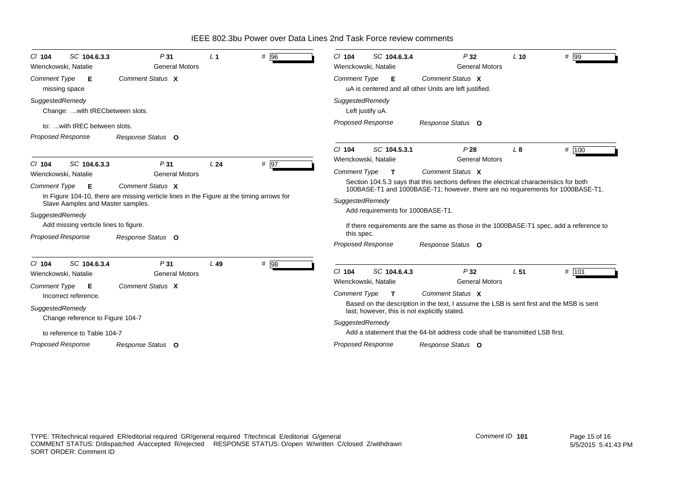| SC 104.6.3.3<br>P31<br>$CI$ 104<br>Wienckowski, Natalie<br><b>General Motors</b>                                                          | L <sub>1</sub> | # 96                                                                                                   | SC 104.6.3.4<br>$Cl$ 104<br>Wienckowski, Natalie                                                                                                                           | P32<br><b>General Motors</b> | $#$ 99<br>$L$ 10                                                                        |  |  |
|-------------------------------------------------------------------------------------------------------------------------------------------|----------------|--------------------------------------------------------------------------------------------------------|----------------------------------------------------------------------------------------------------------------------------------------------------------------------------|------------------------------|-----------------------------------------------------------------------------------------|--|--|
| Comment Status X<br><b>Comment Type</b><br>Е<br>missing space                                                                             |                | Comment Status X<br><b>Comment Type</b><br>Е<br>uA is centered and all other Units are left justified. |                                                                                                                                                                            |                              |                                                                                         |  |  |
| SuggestedRemedy<br>Change: with tRECbetween slots.                                                                                        |                |                                                                                                        | SuggestedRemedy<br>Left justify uA.                                                                                                                                        |                              |                                                                                         |  |  |
| to:  with tREC between slots.<br>Proposed Response<br>Response Status O                                                                   |                |                                                                                                        | <b>Proposed Response</b>                                                                                                                                                   | Response Status O            |                                                                                         |  |  |
| $Cl$ 104<br>SC 104.6.3.3<br>P31                                                                                                           | L24            | # 97                                                                                                   | $Cl$ 104<br>SC 104.5.3.1<br>Wienckowski, Natalie                                                                                                                           | P28<br><b>General Motors</b> | # 100<br>L8                                                                             |  |  |
| Wienckowski, Natalie<br><b>General Motors</b>                                                                                             |                |                                                                                                        | <b>Comment Type</b><br>$\mathbf{T}$                                                                                                                                        | Comment Status X             |                                                                                         |  |  |
| Comment Status X<br><b>Comment Type</b><br>Е<br>In Figure 104-10, there are missing verticle lines in the Figure at the timing arrows for |                |                                                                                                        | Section 104.5.3 says that this sections defines the electrical characteristics for both<br>100BASE-T1 and 1000BASE-T1; however, there are no requirements for 1000BASE-T1. |                              |                                                                                         |  |  |
| Slave Aamples and Master samples.                                                                                                         |                |                                                                                                        | SuggestedRemedy                                                                                                                                                            |                              |                                                                                         |  |  |
| SuggestedRemedy                                                                                                                           |                |                                                                                                        | Add requirements for 1000BASE-T1.                                                                                                                                          |                              |                                                                                         |  |  |
| Add missing verticle lines to figure.                                                                                                     |                |                                                                                                        |                                                                                                                                                                            |                              | If there requirements are the same as those in the 1000BASE-T1 spec, add a reference to |  |  |
| <b>Proposed Response</b><br>Response Status O                                                                                             |                |                                                                                                        | this spec.<br><b>Proposed Response</b>                                                                                                                                     | Response Status O            |                                                                                         |  |  |
| SC 104.6.3.4<br>P31<br>C/ 104<br><b>General Motors</b><br>Wienckowski, Natalie<br>Comment Status X<br><b>Comment Type</b><br>Е            | $L$ 49         | # 98                                                                                                   | $Cl$ 104<br>SC 104.6.4.3<br>Wienckowski, Natalie                                                                                                                           | P32<br><b>General Motors</b> | # 101<br>L <sub>51</sub>                                                                |  |  |
| Incorrect reference.                                                                                                                      |                |                                                                                                        | <b>Comment Type</b><br>$\mathbf{T}$                                                                                                                                        | Comment Status X             |                                                                                         |  |  |
| SuggestedRemedy                                                                                                                           |                |                                                                                                        | Based on the description in the text, I assume the LSB is sent first and the MSB is sent<br>last; however, this is not explicitly stated.                                  |                              |                                                                                         |  |  |
| Change reference to Figure 104-7                                                                                                          |                |                                                                                                        | SuggestedRemedy                                                                                                                                                            |                              |                                                                                         |  |  |
| to reference to Table 104-7                                                                                                               |                | Add a statement that the 64-bit address code shall be transmitted LSB first.                           |                                                                                                                                                                            |                              |                                                                                         |  |  |
| Proposed Response<br>Response Status O                                                                                                    |                |                                                                                                        | <b>Proposed Response</b>                                                                                                                                                   | Response Status O            |                                                                                         |  |  |